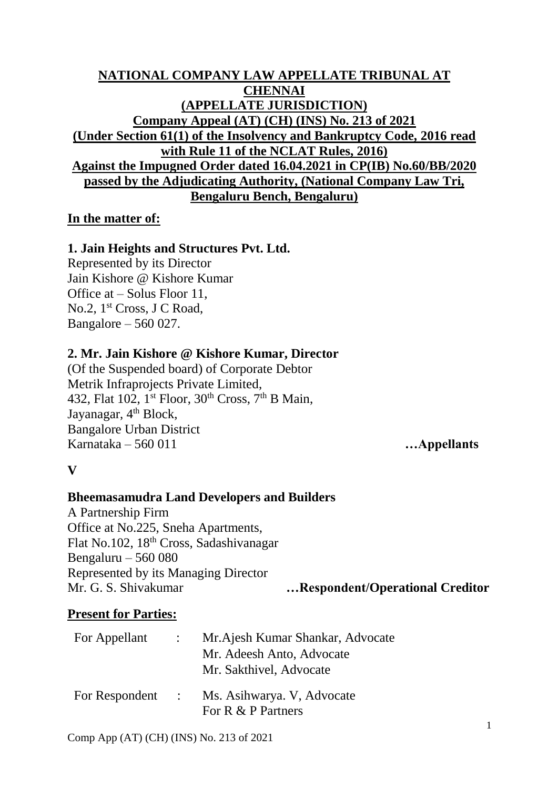# **NATIONAL COMPANY LAW APPELLATE TRIBUNAL AT CHENNAI (APPELLATE JURISDICTION) Company Appeal (AT) (CH) (INS) No. 213 of 2021 (Under Section 61(1) of the Insolvency and Bankruptcy Code, 2016 read with Rule 11 of the NCLAT Rules, 2016) Against the Impugned Order dated 16.04.2021 in CP(IB) No.60/BB/2020 passed by the Adjudicating Authority, (National Company Law Tri, Bengaluru Bench, Bengaluru)**

## **In the matter of:**

# **1. Jain Heights and Structures Pvt. Ltd.**

Represented by its Director Jain Kishore @ Kishore Kumar Office at – Solus Floor 11, No.2, 1<sup>st</sup> Cross, J C Road, Bangalore – 560 027.

## **2. Mr. Jain Kishore @ Kishore Kumar, Director**

(Of the Suspended board) of Corporate Debtor Metrik Infraprojects Private Limited, 432, Flat  $102$ ,  $1^{st}$  Floor,  $30^{th}$  Cross,  $7^{th}$  B Main, Jayanagar, 4<sup>th</sup> Block, Bangalore Urban District Karnataka – 560 011 **…Appellants**

# **V**

# **Bheemasamudra Land Developers and Builders**

A Partnership Firm Office at No.225, Sneha Apartments, Flat No.102, 18th Cross, Sadashivanagar Bengaluru – 560 080 Represented by its Managing Director Mr. G. S. Shivakumar **…Respondent/Operational Creditor**

# **Present for Parties:**

| For Appellant | Mr. Ajesh Kumar Shankar, Advocate                                 |
|---------------|-------------------------------------------------------------------|
|               | Mr. Adeesh Anto, Advocate                                         |
|               | Mr. Sakthivel, Advocate                                           |
|               | For Respondent : Ms. Asihwarya. V, Advocate<br>For R & P Partners |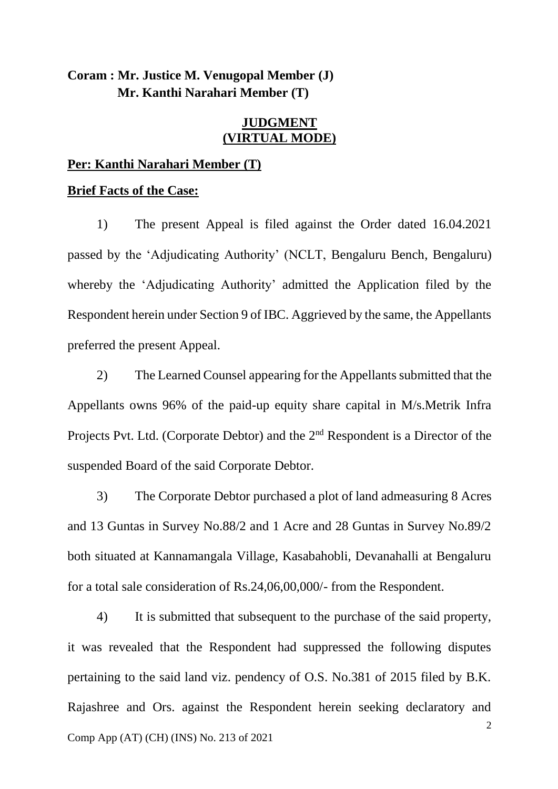# **Coram : Mr. Justice M. Venugopal Member (J) Mr. Kanthi Narahari Member (T)**

## **JUDGMENT (VIRTUAL MODE)**

## **Per: Kanthi Narahari Member (T)**

#### **Brief Facts of the Case:**

1) The present Appeal is filed against the Order dated 16.04.2021 passed by the 'Adjudicating Authority' (NCLT, Bengaluru Bench, Bengaluru) whereby the 'Adjudicating Authority' admitted the Application filed by the Respondent herein under Section 9 of IBC. Aggrieved by the same, the Appellants preferred the present Appeal.

2) The Learned Counsel appearing for the Appellants submitted that the Appellants owns 96% of the paid-up equity share capital in M/s.Metrik Infra Projects Pvt. Ltd. (Corporate Debtor) and the 2<sup>nd</sup> Respondent is a Director of the suspended Board of the said Corporate Debtor.

3) The Corporate Debtor purchased a plot of land admeasuring 8 Acres and 13 Guntas in Survey No.88/2 and 1 Acre and 28 Guntas in Survey No.89/2 both situated at Kannamangala Village, Kasabahobli, Devanahalli at Bengaluru for a total sale consideration of Rs.24,06,00,000/- from the Respondent.

 $\mathcal{L}$ Comp App (AT) (CH) (INS) No. 213 of 2021 4) It is submitted that subsequent to the purchase of the said property, it was revealed that the Respondent had suppressed the following disputes pertaining to the said land viz. pendency of O.S. No.381 of 2015 filed by B.K. Rajashree and Ors. against the Respondent herein seeking declaratory and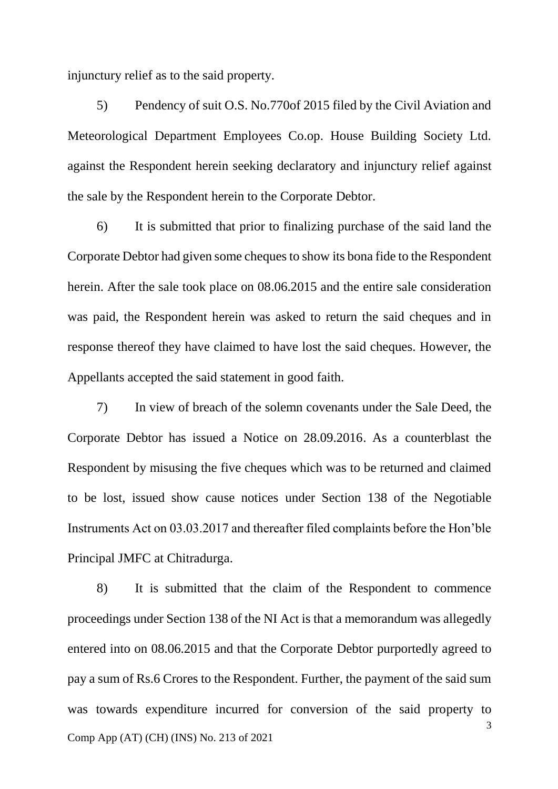injunctury relief as to the said property.

5) Pendency of suit O.S. No.770of 2015 filed by the Civil Aviation and Meteorological Department Employees Co.op. House Building Society Ltd. against the Respondent herein seeking declaratory and injunctury relief against the sale by the Respondent herein to the Corporate Debtor.

6) It is submitted that prior to finalizing purchase of the said land the Corporate Debtor had given some cheques to show its bona fide to the Respondent herein. After the sale took place on 08.06.2015 and the entire sale consideration was paid, the Respondent herein was asked to return the said cheques and in response thereof they have claimed to have lost the said cheques. However, the Appellants accepted the said statement in good faith.

7) In view of breach of the solemn covenants under the Sale Deed, the Corporate Debtor has issued a Notice on 28.09.2016. As a counterblast the Respondent by misusing the five cheques which was to be returned and claimed to be lost, issued show cause notices under Section 138 of the Negotiable Instruments Act on 03.03.2017 and thereafter filed complaints before the Hon'ble Principal JMFC at Chitradurga.

3 Comp App (AT) (CH) (INS) No. 213 of 2021 8) It is submitted that the claim of the Respondent to commence proceedings under Section 138 of the NI Act is that a memorandum was allegedly entered into on 08.06.2015 and that the Corporate Debtor purportedly agreed to pay a sum of Rs.6 Crores to the Respondent. Further, the payment of the said sum was towards expenditure incurred for conversion of the said property to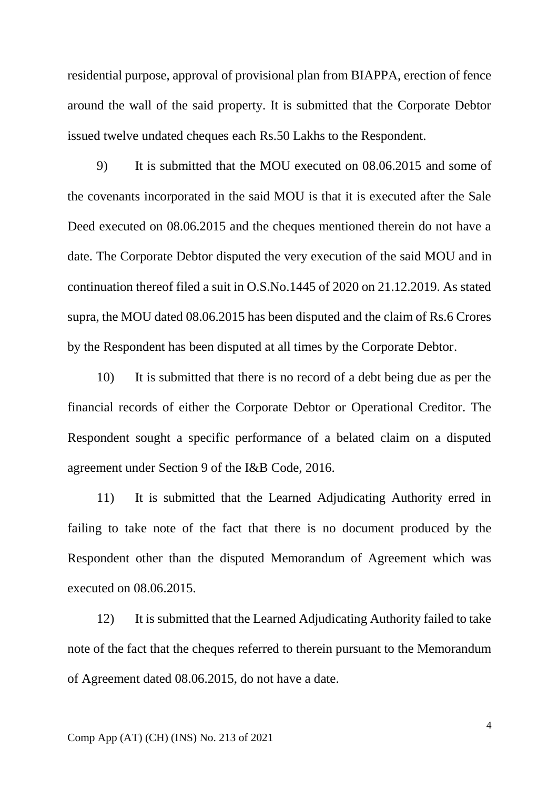residential purpose, approval of provisional plan from BIAPPA, erection of fence around the wall of the said property. It is submitted that the Corporate Debtor issued twelve undated cheques each Rs.50 Lakhs to the Respondent.

9) It is submitted that the MOU executed on 08.06.2015 and some of the covenants incorporated in the said MOU is that it is executed after the Sale Deed executed on 08.06.2015 and the cheques mentioned therein do not have a date. The Corporate Debtor disputed the very execution of the said MOU and in continuation thereof filed a suit in O.S.No.1445 of 2020 on 21.12.2019. As stated supra, the MOU dated 08.06.2015 has been disputed and the claim of Rs.6 Crores by the Respondent has been disputed at all times by the Corporate Debtor.

10) It is submitted that there is no record of a debt being due as per the financial records of either the Corporate Debtor or Operational Creditor. The Respondent sought a specific performance of a belated claim on a disputed agreement under Section 9 of the I&B Code, 2016.

11) It is submitted that the Learned Adjudicating Authority erred in failing to take note of the fact that there is no document produced by the Respondent other than the disputed Memorandum of Agreement which was executed on 08.06.2015.

12) It is submitted that the Learned Adjudicating Authority failed to take note of the fact that the cheques referred to therein pursuant to the Memorandum of Agreement dated 08.06.2015, do not have a date.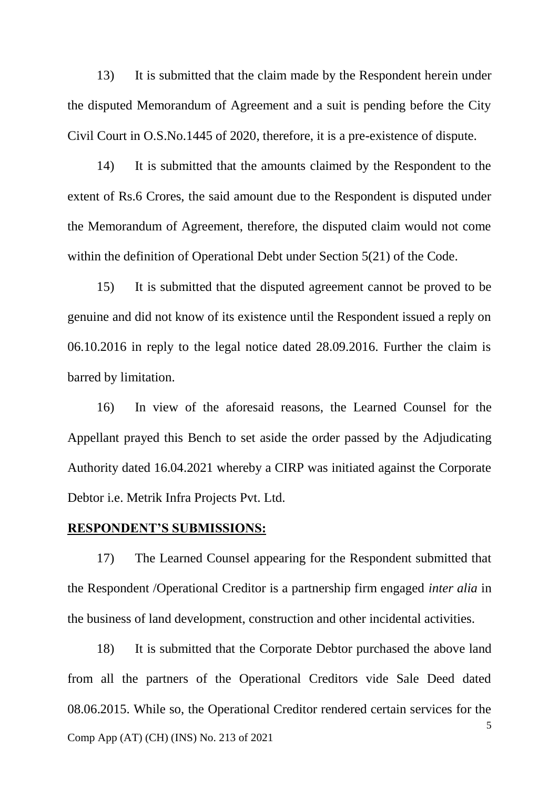13) It is submitted that the claim made by the Respondent herein under the disputed Memorandum of Agreement and a suit is pending before the City Civil Court in O.S.No.1445 of 2020, therefore, it is a pre-existence of dispute.

14) It is submitted that the amounts claimed by the Respondent to the extent of Rs.6 Crores, the said amount due to the Respondent is disputed under the Memorandum of Agreement, therefore, the disputed claim would not come within the definition of Operational Debt under Section 5(21) of the Code.

15) It is submitted that the disputed agreement cannot be proved to be genuine and did not know of its existence until the Respondent issued a reply on 06.10.2016 in reply to the legal notice dated 28.09.2016. Further the claim is barred by limitation.

16) In view of the aforesaid reasons, the Learned Counsel for the Appellant prayed this Bench to set aside the order passed by the Adjudicating Authority dated 16.04.2021 whereby a CIRP was initiated against the Corporate Debtor i.e. Metrik Infra Projects Pvt. Ltd.

## **RESPONDENT'S SUBMISSIONS:**

17) The Learned Counsel appearing for the Respondent submitted that the Respondent /Operational Creditor is a partnership firm engaged *inter alia* in the business of land development, construction and other incidental activities.

5 Comp App (AT) (CH) (INS) No. 213 of 2021 18) It is submitted that the Corporate Debtor purchased the above land from all the partners of the Operational Creditors vide Sale Deed dated 08.06.2015. While so, the Operational Creditor rendered certain services for the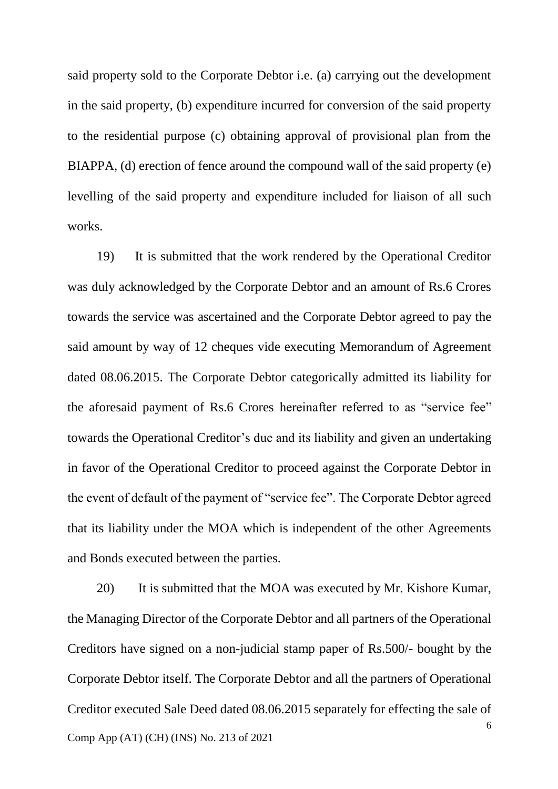said property sold to the Corporate Debtor i.e. (a) carrying out the development in the said property, (b) expenditure incurred for conversion of the said property to the residential purpose (c) obtaining approval of provisional plan from the BIAPPA, (d) erection of fence around the compound wall of the said property (e) levelling of the said property and expenditure included for liaison of all such works.

19) It is submitted that the work rendered by the Operational Creditor was duly acknowledged by the Corporate Debtor and an amount of Rs.6 Crores towards the service was ascertained and the Corporate Debtor agreed to pay the said amount by way of 12 cheques vide executing Memorandum of Agreement dated 08.06.2015. The Corporate Debtor categorically admitted its liability for the aforesaid payment of Rs.6 Crores hereinafter referred to as "service fee" towards the Operational Creditor's due and its liability and given an undertaking in favor of the Operational Creditor to proceed against the Corporate Debtor in the event of default of the payment of "service fee". The Corporate Debtor agreed that its liability under the MOA which is independent of the other Agreements and Bonds executed between the parties.

6 Comp App (AT) (CH) (INS) No. 213 of 2021 20) It is submitted that the MOA was executed by Mr. Kishore Kumar, the Managing Director of the Corporate Debtor and all partners of the Operational Creditors have signed on a non-judicial stamp paper of Rs.500/- bought by the Corporate Debtor itself. The Corporate Debtor and all the partners of Operational Creditor executed Sale Deed dated 08.06.2015 separately for effecting the sale of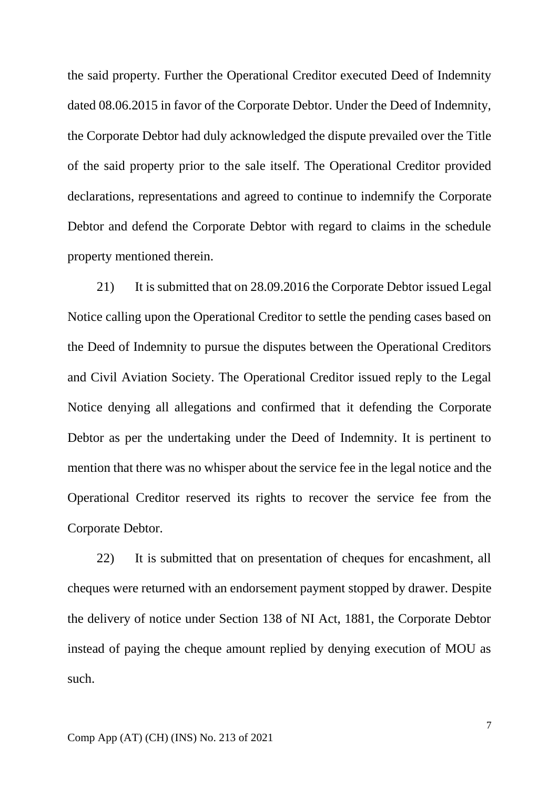the said property. Further the Operational Creditor executed Deed of Indemnity dated 08.06.2015 in favor of the Corporate Debtor. Under the Deed of Indemnity, the Corporate Debtor had duly acknowledged the dispute prevailed over the Title of the said property prior to the sale itself. The Operational Creditor provided declarations, representations and agreed to continue to indemnify the Corporate Debtor and defend the Corporate Debtor with regard to claims in the schedule property mentioned therein.

21) It is submitted that on 28.09.2016 the Corporate Debtor issued Legal Notice calling upon the Operational Creditor to settle the pending cases based on the Deed of Indemnity to pursue the disputes between the Operational Creditors and Civil Aviation Society. The Operational Creditor issued reply to the Legal Notice denying all allegations and confirmed that it defending the Corporate Debtor as per the undertaking under the Deed of Indemnity. It is pertinent to mention that there was no whisper about the service fee in the legal notice and the Operational Creditor reserved its rights to recover the service fee from the Corporate Debtor.

22) It is submitted that on presentation of cheques for encashment, all cheques were returned with an endorsement payment stopped by drawer. Despite the delivery of notice under Section 138 of NI Act, 1881, the Corporate Debtor instead of paying the cheque amount replied by denying execution of MOU as such.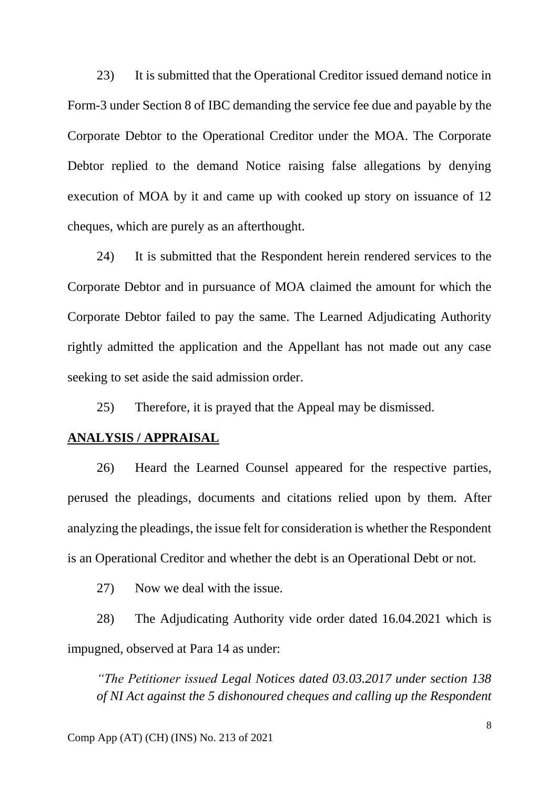23) It is submitted that the Operational Creditor issued demand notice in Form-3 under Section 8 of IBC demanding the service fee due and payable by the Corporate Debtor to the Operational Creditor under the MOA. The Corporate Debtor replied to the demand Notice raising false allegations by denying execution of MOA by it and came up with cooked up story on issuance of 12 cheques, which are purely as an afterthought.

24) It is submitted that the Respondent herein rendered services to the Corporate Debtor and in pursuance of MOA claimed the amount for which the Corporate Debtor failed to pay the same. The Learned Adjudicating Authority rightly admitted the application and the Appellant has not made out any case seeking to set aside the said admission order.

25) Therefore, it is prayed that the Appeal may be dismissed.

## **ANALYSIS / APPRAISAL**

26) Heard the Learned Counsel appeared for the respective parties, perused the pleadings, documents and citations relied upon by them. After analyzing the pleadings, the issue felt for consideration is whether the Respondent is an Operational Creditor and whether the debt is an Operational Debt or not.

27) Now we deal with the issue.

28) The Adjudicating Authority vide order dated 16.04.2021 which is impugned, observed at Para 14 as under:

*"The Petitioner issued Legal Notices dated 03.03.2017 under section 138 of NI Act against the 5 dishonoured cheques and calling up the Respondent*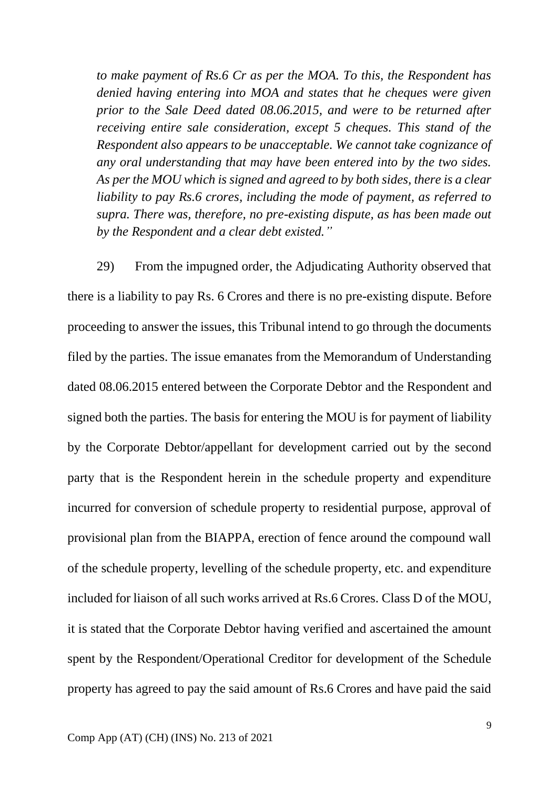*to make payment of Rs.6 Cr as per the MOA. To this, the Respondent has denied having entering into MOA and states that he cheques were given prior to the Sale Deed dated 08.06.2015, and were to be returned after receiving entire sale consideration, except 5 cheques. This stand of the Respondent also appears to be unacceptable. We cannot take cognizance of any oral understanding that may have been entered into by the two sides. As per the MOU which is signed and agreed to by both sides, there is a clear liability to pay Rs.6 crores, including the mode of payment, as referred to supra. There was, therefore, no pre-existing dispute, as has been made out by the Respondent and a clear debt existed."*

29) From the impugned order, the Adjudicating Authority observed that there is a liability to pay Rs. 6 Crores and there is no pre-existing dispute. Before proceeding to answer the issues, this Tribunal intend to go through the documents filed by the parties. The issue emanates from the Memorandum of Understanding dated 08.06.2015 entered between the Corporate Debtor and the Respondent and signed both the parties. The basis for entering the MOU is for payment of liability by the Corporate Debtor/appellant for development carried out by the second party that is the Respondent herein in the schedule property and expenditure incurred for conversion of schedule property to residential purpose, approval of provisional plan from the BIAPPA, erection of fence around the compound wall of the schedule property, levelling of the schedule property, etc. and expenditure included for liaison of all such works arrived at Rs.6 Crores. Class D of the MOU, it is stated that the Corporate Debtor having verified and ascertained the amount spent by the Respondent/Operational Creditor for development of the Schedule property has agreed to pay the said amount of Rs.6 Crores and have paid the said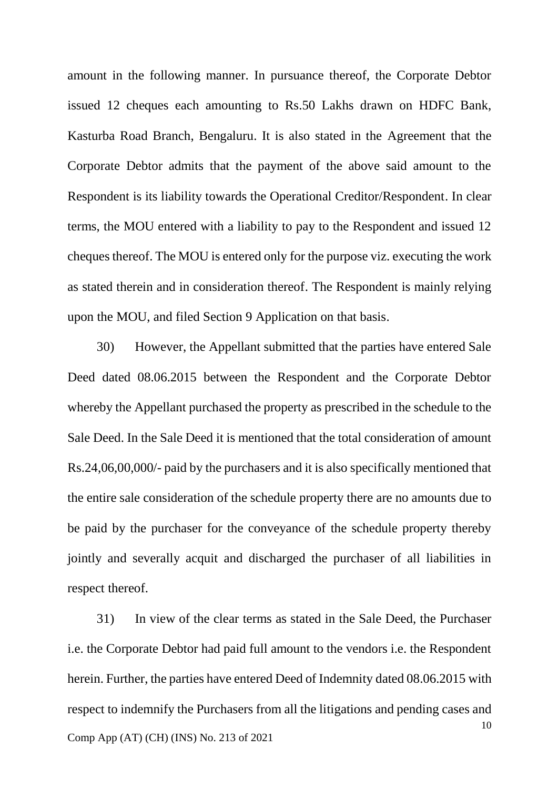amount in the following manner. In pursuance thereof, the Corporate Debtor issued 12 cheques each amounting to Rs.50 Lakhs drawn on HDFC Bank, Kasturba Road Branch, Bengaluru. It is also stated in the Agreement that the Corporate Debtor admits that the payment of the above said amount to the Respondent is its liability towards the Operational Creditor/Respondent. In clear terms, the MOU entered with a liability to pay to the Respondent and issued 12 cheques thereof. The MOU is entered only for the purpose viz. executing the work as stated therein and in consideration thereof. The Respondent is mainly relying upon the MOU, and filed Section 9 Application on that basis.

30) However, the Appellant submitted that the parties have entered Sale Deed dated 08.06.2015 between the Respondent and the Corporate Debtor whereby the Appellant purchased the property as prescribed in the schedule to the Sale Deed. In the Sale Deed it is mentioned that the total consideration of amount Rs.24,06,00,000/- paid by the purchasers and it is also specifically mentioned that the entire sale consideration of the schedule property there are no amounts due to be paid by the purchaser for the conveyance of the schedule property thereby jointly and severally acquit and discharged the purchaser of all liabilities in respect thereof.

10 Comp App (AT) (CH) (INS) No. 213 of 2021 31) In view of the clear terms as stated in the Sale Deed, the Purchaser i.e. the Corporate Debtor had paid full amount to the vendors i.e. the Respondent herein. Further, the parties have entered Deed of Indemnity dated 08.06.2015 with respect to indemnify the Purchasers from all the litigations and pending cases and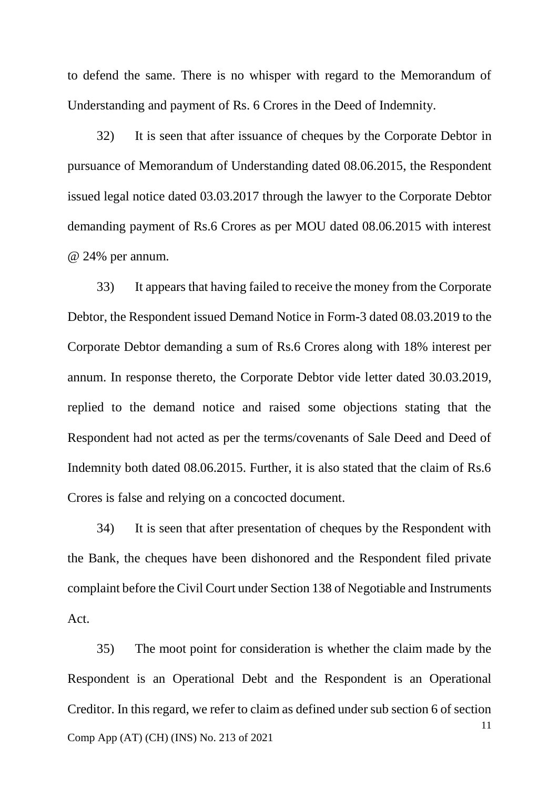to defend the same. There is no whisper with regard to the Memorandum of Understanding and payment of Rs. 6 Crores in the Deed of Indemnity.

32) It is seen that after issuance of cheques by the Corporate Debtor in pursuance of Memorandum of Understanding dated 08.06.2015, the Respondent issued legal notice dated 03.03.2017 through the lawyer to the Corporate Debtor demanding payment of Rs.6 Crores as per MOU dated 08.06.2015 with interest @ 24% per annum.

33) It appears that having failed to receive the money from the Corporate Debtor, the Respondent issued Demand Notice in Form-3 dated 08.03.2019 to the Corporate Debtor demanding a sum of Rs.6 Crores along with 18% interest per annum. In response thereto, the Corporate Debtor vide letter dated 30.03.2019, replied to the demand notice and raised some objections stating that the Respondent had not acted as per the terms/covenants of Sale Deed and Deed of Indemnity both dated 08.06.2015. Further, it is also stated that the claim of Rs.6 Crores is false and relying on a concocted document.

34) It is seen that after presentation of cheques by the Respondent with the Bank, the cheques have been dishonored and the Respondent filed private complaint before the Civil Court under Section 138 of Negotiable and Instruments Act.

11 Comp App (AT) (CH) (INS) No. 213 of 2021 35) The moot point for consideration is whether the claim made by the Respondent is an Operational Debt and the Respondent is an Operational Creditor. In this regard, we refer to claim as defined under sub section 6 of section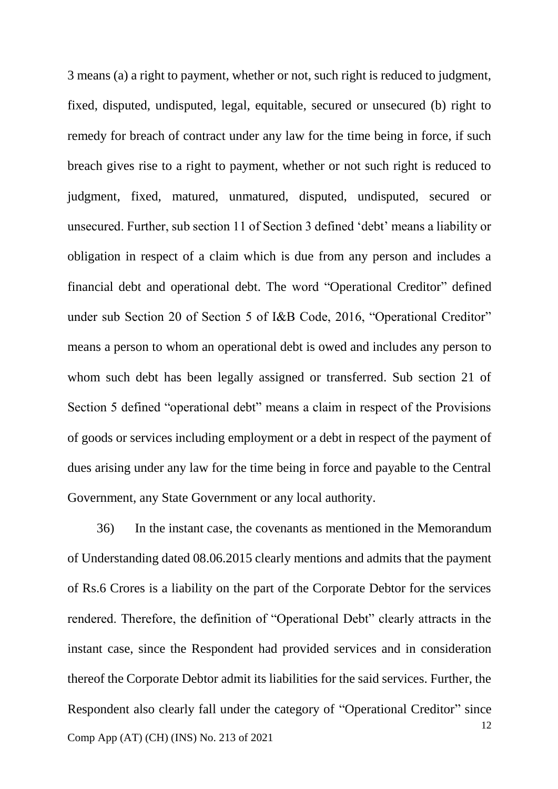3 means (a) a right to payment, whether or not, such right is reduced to judgment, fixed, disputed, undisputed, legal, equitable, secured or unsecured (b) right to remedy for breach of contract under any law for the time being in force, if such breach gives rise to a right to payment, whether or not such right is reduced to judgment, fixed, matured, unmatured, disputed, undisputed, secured or unsecured. Further, sub section 11 of Section 3 defined 'debt' means a liability or obligation in respect of a claim which is due from any person and includes a financial debt and operational debt. The word "Operational Creditor" defined under sub Section 20 of Section 5 of I&B Code, 2016, "Operational Creditor" means a person to whom an operational debt is owed and includes any person to whom such debt has been legally assigned or transferred. Sub section 21 of Section 5 defined "operational debt" means a claim in respect of the Provisions of goods or services including employment or a debt in respect of the payment of dues arising under any law for the time being in force and payable to the Central Government, any State Government or any local authority.

12 Comp App (AT) (CH) (INS) No. 213 of 2021 36) In the instant case, the covenants as mentioned in the Memorandum of Understanding dated 08.06.2015 clearly mentions and admits that the payment of Rs.6 Crores is a liability on the part of the Corporate Debtor for the services rendered. Therefore, the definition of "Operational Debt" clearly attracts in the instant case, since the Respondent had provided services and in consideration thereof the Corporate Debtor admit its liabilities for the said services. Further, the Respondent also clearly fall under the category of "Operational Creditor" since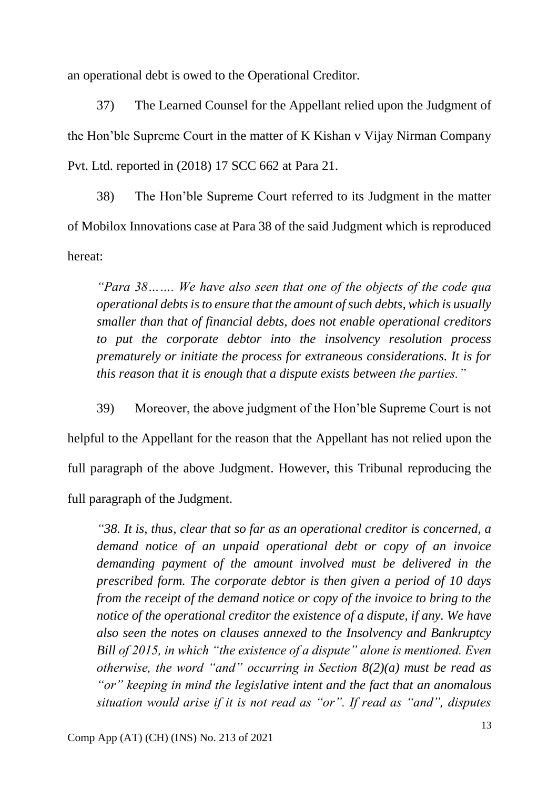an operational debt is owed to the Operational Creditor.

37) The Learned Counsel for the Appellant relied upon the Judgment of the Hon'ble Supreme Court in the matter of K Kishan v Vijay Nirman Company Pvt. Ltd. reported in (2018) 17 SCC 662 at Para 21.

38) The Hon'ble Supreme Court referred to its Judgment in the matter of Mobilox Innovations case at Para 38 of the said Judgment which is reproduced hereat:

*"Para 38……. We have also seen that one of the objects of the code qua operational debts is to ensure that the amount of such debts, which is usually smaller than that of financial debts, does not enable operational creditors to put the corporate debtor into the insolvency resolution process prematurely or initiate the process for extraneous considerations. It is for this reason that it is enough that a dispute exists between the parties."*

39) Moreover, the above judgment of the Hon'ble Supreme Court is not helpful to the Appellant for the reason that the Appellant has not relied upon the full paragraph of the above Judgment. However, this Tribunal reproducing the full paragraph of the Judgment.

*"38. It is, thus, clear that so far as an operational creditor is concerned, a demand notice of an unpaid operational debt or copy of an invoice demanding payment of the amount involved must be delivered in the prescribed form. The corporate debtor is then given a period of 10 days from the receipt of the demand notice or copy of the invoice to bring to the notice of the operational creditor the existence of a dispute, if any. We have also seen the notes on clauses annexed to the Insolvency and Bankruptcy Bill of 2015, in which "the existence of a dispute" alone is mentioned. Even otherwise, the word "and" occurring in Section 8(2)(a) must be read as "or" keeping in mind the legislative intent and the fact that an anomalous situation would arise if it is not read as "or". If read as "and", disputes*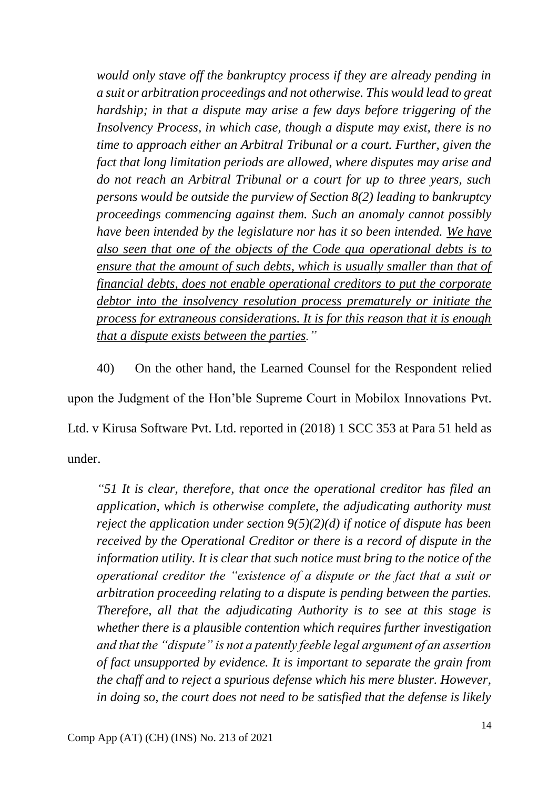*would only stave off the bankruptcy process if they are already pending in a suit or arbitration proceedings and not otherwise. This would lead to great hardship; in that a dispute may arise a few days before triggering of the Insolvency Process, in which case, though a dispute may exist, there is no time to approach either an Arbitral Tribunal or a court. Further, given the fact that long limitation periods are allowed, where disputes may arise and do not reach an Arbitral Tribunal or a court for up to three years, such persons would be outside the purview of Section 8(2) leading to bankruptcy proceedings commencing against them. Such an anomaly cannot possibly have been intended by the legislature nor has it so been intended. We have also seen that one of the objects of the Code qua operational debts is to ensure that the amount of such debts, which is usually smaller than that of financial debts, does not enable operational creditors to put the corporate debtor into the insolvency resolution process prematurely or initiate the process for extraneous considerations. It is for this reason that it is enough that a dispute exists between the parties."*

40) On the other hand, the Learned Counsel for the Respondent relied upon the Judgment of the Hon'ble Supreme Court in Mobilox Innovations Pvt. Ltd. v Kirusa Software Pvt. Ltd. reported in (2018) 1 SCC 353 at Para 51 held as under.

*"51 It is clear, therefore, that once the operational creditor has filed an application, which is otherwise complete, the adjudicating authority must reject the application under section 9(5)(2)(d) if notice of dispute has been received by the Operational Creditor or there is a record of dispute in the information utility. It is clear that such notice must bring to the notice of the operational creditor the "existence of a dispute or the fact that a suit or arbitration proceeding relating to a dispute is pending between the parties. Therefore, all that the adjudicating Authority is to see at this stage is whether there is a plausible contention which requires further investigation and that the "dispute" is not a patently feeble legal argument of an assertion of fact unsupported by evidence. It is important to separate the grain from the chaff and to reject a spurious defense which his mere bluster. However, in doing so, the court does not need to be satisfied that the defense is likely*